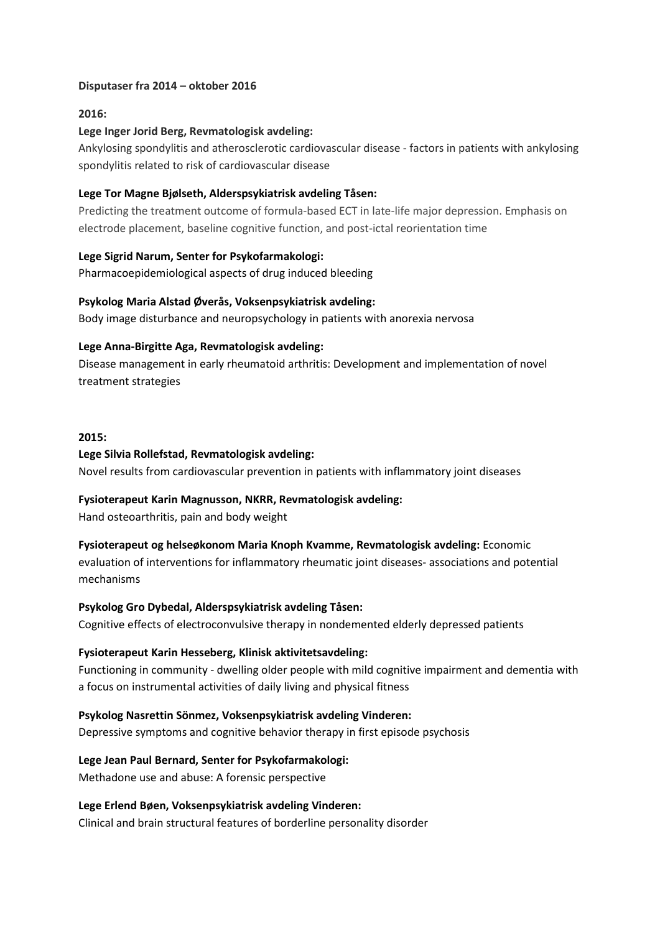# **Disputaser fra 2014 – oktober 2016**

# **2016:**

# **Lege Inger Jorid Berg, Revmatologisk avdeling:**

Ankylosing spondylitis and atherosclerotic cardiovascular disease - factors in patients with ankylosing spondylitis related to risk of cardiovascular disease

# **Lege Tor Magne Bjølseth, Alderspsykiatrisk avdeling Tåsen:**

Predicting the treatment outcome of formula-based ECT in late-life major depression. Emphasis on electrode placement, baseline cognitive function, and post-ictal reorientation time

# **Lege Sigrid Narum, Senter for Psykofarmakologi:**

Pharmacoepidemiological aspects of drug induced bleeding

# **Psykolog Maria Alstad Øverås, Voksenpsykiatrisk avdeling:**

Body image disturbance and neuropsychology in patients with anorexia nervosa

# **Lege Anna-Birgitte Aga, Revmatologisk avdeling:**

Disease management in early rheumatoid arthritis: Development and implementation of novel treatment strategies

## **2015:**

# **Lege Silvia Rollefstad, Revmatologisk avdeling:**

Novel results from cardiovascular prevention in patients with inflammatory joint diseases

# **Fysioterapeut Karin Magnusson, NKRR, Revmatologisk avdeling:**

Hand osteoarthritis, pain and body weight

# **Fysioterapeut og helseøkonom Maria Knoph Kvamme, Revmatologisk avdeling:** Economic evaluation of interventions for inflammatory rheumatic joint diseases- associations and potential mechanisms

# **Psykolog Gro Dybedal, Alderspsykiatrisk avdeling Tåsen:**

Cognitive effects of electroconvulsive therapy in nondemented elderly depressed patients

## **Fysioterapeut Karin Hesseberg, Klinisk aktivitetsavdeling:**

Functioning in community - dwelling older people with mild cognitive impairment and dementia with a focus on instrumental activities of daily living and physical fitness

**Psykolog Nasrettin Sönmez, Voksenpsykiatrisk avdeling Vinderen:**  Depressive symptoms and cognitive behavior therapy in first episode psychosis

**Lege Jean Paul Bernard, Senter for Psykofarmakologi:**  Methadone use and abuse: A forensic perspective

# **Lege Erlend Bøen, Voksenpsykiatrisk avdeling Vinderen:**

Clinical and brain structural features of borderline personality disorder